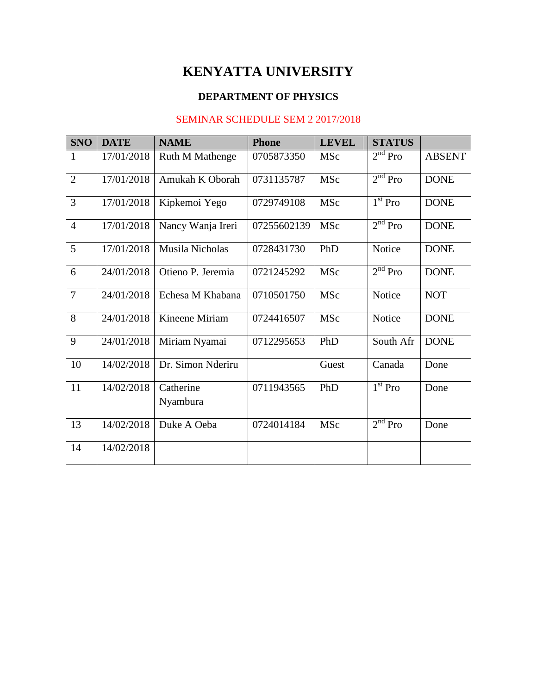## **KENYATTA UNIVERSITY**

### **DEPARTMENT OF PHYSICS**

#### SEMINAR SCHEDULE SEM 2 2017/2018

| <b>SNO</b>     | <b>DATE</b> | <b>NAME</b>            | <b>Phone</b> | <b>LEVEL</b> | <b>STATUS</b>                  |               |
|----------------|-------------|------------------------|--------------|--------------|--------------------------------|---------------|
| 1              | 17/01/2018  | <b>Ruth M Mathenge</b> | 0705873350   | <b>MSc</b>   | $2nd$ Pro                      | <b>ABSENT</b> |
| $\overline{2}$ | 17/01/2018  | Amukah K Oborah        | 0731135787   | <b>MSc</b>   | 2 <sup>nd</sup> Pro            | <b>DONE</b>   |
| 3              | 17/01/2018  | Kipkemoi Yego          | 0729749108   | <b>MSc</b>   | $1st$ Pro                      | <b>DONE</b>   |
| $\overline{4}$ | 17/01/2018  | Nancy Wanja Ireri      | 07255602139  | MSc          | $2nd$ Pro                      | <b>DONE</b>   |
| 5              | 17/01/2018  | Musila Nicholas        | 0728431730   | PhD          | Notice                         | <b>DONE</b>   |
| 6              | 24/01/2018  | Otieno P. Jeremia      | 0721245292   | <b>MSc</b>   | $2nd$ Pro                      | <b>DONE</b>   |
| $\overline{7}$ | 24/01/2018  | Echesa M Khabana       | 0710501750   | <b>MSc</b>   | Notice                         | <b>NOT</b>    |
| 8              | 24/01/2018  | Kineene Miriam         | 0724416507   | <b>MSc</b>   | Notice                         | <b>DONE</b>   |
| 9              | 24/01/2018  | Miriam Nyamai          | 0712295653   | PhD          | South Afr                      | <b>DONE</b>   |
| 10             | 14/02/2018  | Dr. Simon Nderiru      |              | Guest        | Canada                         | Done          |
| 11             | 14/02/2018  | Catherine<br>Nyambura  | 0711943565   | PhD          | $\overline{1}^{\text{st}}$ Pro | Done          |
| 13             | 14/02/2018  | Duke A Oeba            | 0724014184   | MSc          | 2 <sup>nd</sup> Pro            | Done          |
| 14             | 14/02/2018  |                        |              |              |                                |               |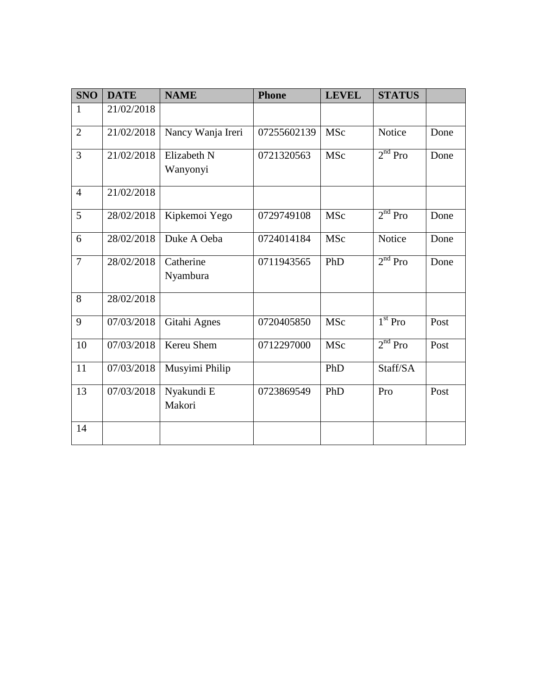| <b>SNO</b>     | <b>DATE</b> | <b>NAME</b>             | <b>Phone</b> | <b>LEVEL</b> | <b>STATUS</b>       |      |
|----------------|-------------|-------------------------|--------------|--------------|---------------------|------|
| 1              | 21/02/2018  |                         |              |              |                     |      |
| $\overline{2}$ | 21/02/2018  | Nancy Wanja Ireri       | 07255602139  | <b>MSc</b>   | Notice              | Done |
| 3              | 21/02/2018  | Elizabeth N<br>Wanyonyi | 0721320563   | <b>MSc</b>   | $2nd$ Pro           | Done |
| $\overline{4}$ | 21/02/2018  |                         |              |              |                     |      |
| 5              | 28/02/2018  | Kipkemoi Yego           | 0729749108   | MSc          | $2nd$ Pro           | Done |
| 6              | 28/02/2018  | Duke A Oeba             | 0724014184   | <b>MSc</b>   | Notice              | Done |
| $\overline{7}$ | 28/02/2018  | Catherine<br>Nyambura   | 0711943565   | PhD          | $2nd$ Pro           | Done |
| 8              | 28/02/2018  |                         |              |              |                     |      |
| 9              | 07/03/2018  | Gitahi Agnes            | 0720405850   | <b>MSc</b>   | $1st$ Pro           | Post |
| 10             | 07/03/2018  | Kereu Shem              | 0712297000   | <b>MSc</b>   | 2 <sup>nd</sup> Pro | Post |
| 11             | 07/03/2018  | Musyimi Philip          |              | PhD          | Staff/SA            |      |
| 13             | 07/03/2018  | Nyakundi E<br>Makori    | 0723869549   | PhD          | Pro                 | Post |
| 14             |             |                         |              |              |                     |      |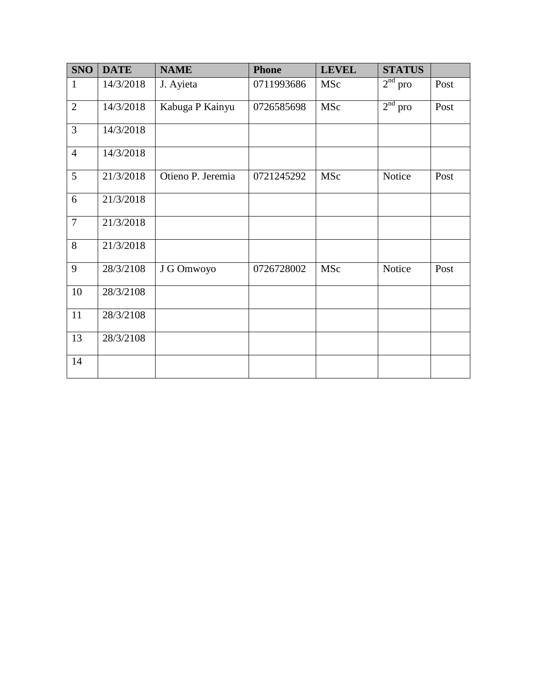| <b>SNO</b>     | <b>DATE</b> | <b>NAME</b>       | <b>Phone</b> | <b>LEVEL</b> | <b>STATUS</b>       |      |
|----------------|-------------|-------------------|--------------|--------------|---------------------|------|
| $\mathbf{1}$   | 14/3/2018   | J. Ayieta         | 0711993686   | MSc          | $2nd$ pro           | Post |
| $\overline{2}$ | 14/3/2018   | Kabuga P Kainyu   | 0726585698   | MSc          | 2 <sup>nd</sup> pro | Post |
| 3              | 14/3/2018   |                   |              |              |                     |      |
| $\overline{4}$ | 14/3/2018   |                   |              |              |                     |      |
| 5              | 21/3/2018   | Otieno P. Jeremia | 0721245292   | MSc          | Notice              | Post |
| 6              | 21/3/2018   |                   |              |              |                     |      |
| $\overline{7}$ | 21/3/2018   |                   |              |              |                     |      |
| 8              | 21/3/2018   |                   |              |              |                     |      |
| 9              | 28/3/2108   | J G Omwoyo        | 0726728002   | MSc          | Notice              | Post |
| 10             | 28/3/2108   |                   |              |              |                     |      |
| 11             | 28/3/2108   |                   |              |              |                     |      |
| 13             | 28/3/2108   |                   |              |              |                     |      |
| 14             |             |                   |              |              |                     |      |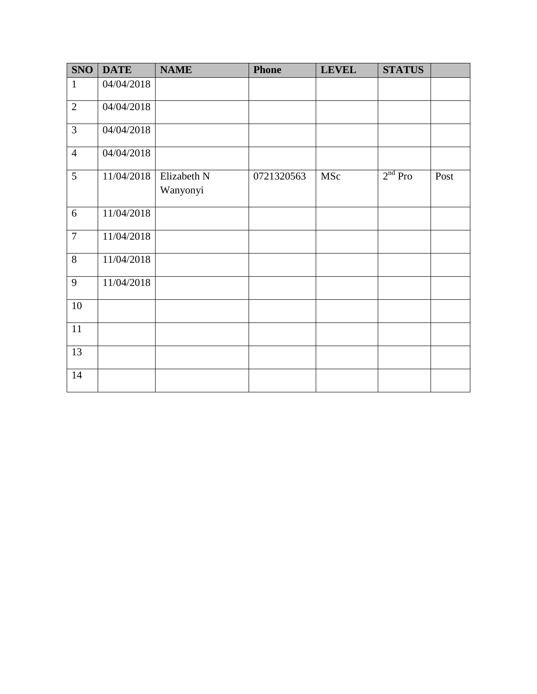| <b>SNO</b>     | <b>DATE</b> | <b>NAME</b>             | <b>Phone</b> | <b>LEVEL</b> | <b>STATUS</b> |      |
|----------------|-------------|-------------------------|--------------|--------------|---------------|------|
| $\mathbf{1}$   | 04/04/2018  |                         |              |              |               |      |
| $\overline{2}$ | 04/04/2018  |                         |              |              |               |      |
| $\overline{3}$ | 04/04/2018  |                         |              |              |               |      |
| $\overline{4}$ | 04/04/2018  |                         |              |              |               |      |
| 5              | 11/04/2018  | Elizabeth N<br>Wanyonyi | 0721320563   | MSc          | $2nd$ Pro     | Post |
| 6              | 11/04/2018  |                         |              |              |               |      |
| $\overline{7}$ | 11/04/2018  |                         |              |              |               |      |
| 8              | 11/04/2018  |                         |              |              |               |      |
| 9              | 11/04/2018  |                         |              |              |               |      |
| 10             |             |                         |              |              |               |      |
| 11             |             |                         |              |              |               |      |
| 13             |             |                         |              |              |               |      |
| 14             |             |                         |              |              |               |      |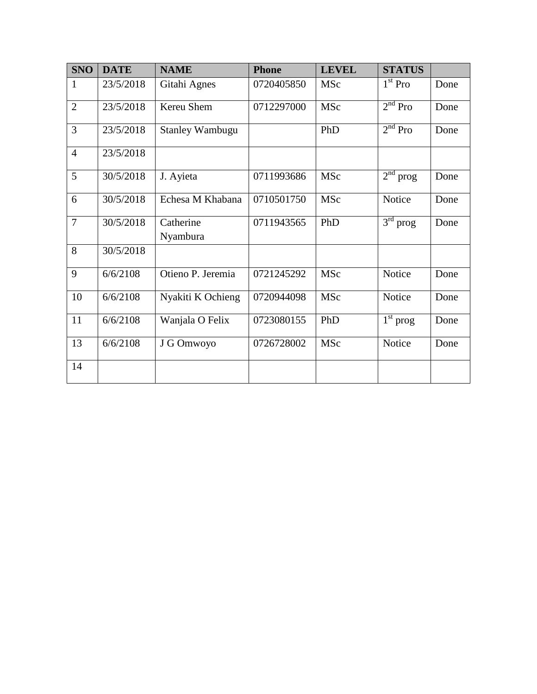| <b>SNO</b>     | <b>DATE</b> | <b>NAME</b>            | <b>Phone</b> | <b>LEVEL</b> | <b>STATUS</b> |      |
|----------------|-------------|------------------------|--------------|--------------|---------------|------|
| 1              | 23/5/2018   | Gitahi Agnes           | 0720405850   | MSc          | $1st$ Pro     | Done |
| $\overline{2}$ | 23/5/2018   | Kereu Shem             | 0712297000   | MSc          | $2nd$ Pro     | Done |
| 3              | 23/5/2018   | <b>Stanley Wambugu</b> |              | PhD          | $2nd$ Pro     | Done |
| $\overline{4}$ | 23/5/2018   |                        |              |              |               |      |
| 5              | 30/5/2018   | J. Ayieta              | 0711993686   | MSc          | $2nd$ prog    | Done |
| 6              | 30/5/2018   | Echesa M Khabana       | 0710501750   | MSc          | Notice        | Done |
| $\overline{7}$ | 30/5/2018   | Catherine<br>Nyambura  | 0711943565   | PhD          | $3rd$ prog    | Done |
| 8              | 30/5/2018   |                        |              |              |               |      |
| 9              | 6/6/2108    | Otieno P. Jeremia      | 0721245292   | MSc          | Notice        | Done |
| 10             | 6/6/2108    | Nyakiti K Ochieng      | 0720944098   | MSc          | Notice        | Done |
| 11             | 6/6/2108    | Wanjala O Felix        | 0723080155   | PhD          | $1st$ prog    | Done |
| 13             | 6/6/2108    | J G Omwoyo             | 0726728002   | MSc          | Notice        | Done |
| 14             |             |                        |              |              |               |      |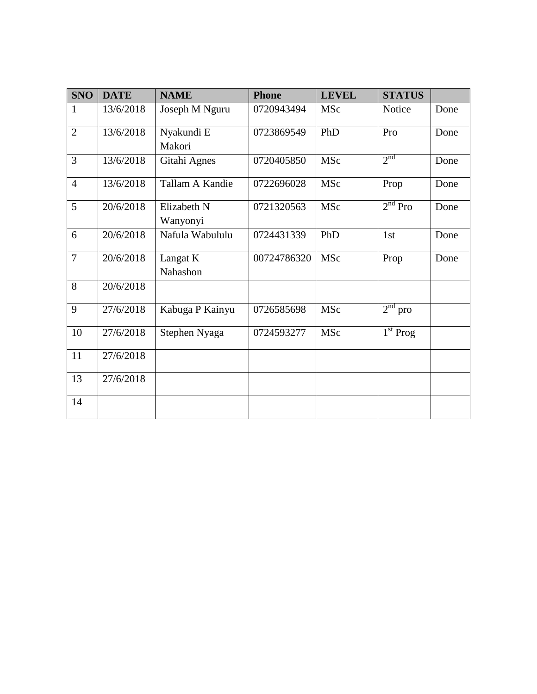| <b>SNO</b>     | <b>DATE</b> | <b>NAME</b>     | <b>Phone</b> | <b>LEVEL</b> | <b>STATUS</b>       |      |
|----------------|-------------|-----------------|--------------|--------------|---------------------|------|
| $\mathbf{1}$   | 13/6/2018   | Joseph M Nguru  | 0720943494   | MSc          | Notice              | Done |
| $\overline{2}$ | 13/6/2018   | Nyakundi E      | 0723869549   | PhD          | Pro                 | Done |
|                |             | Makori          |              |              |                     |      |
| $\overline{3}$ | 13/6/2018   | Gitahi Agnes    | 0720405850   | MSc          | 2 <sup>nd</sup>     | Done |
| $\overline{4}$ | 13/6/2018   | Tallam A Kandie | 0722696028   | MSc          | Prop                | Done |
| 5              | 20/6/2018   | Elizabeth N     | 0721320563   | MSc          | $2nd$ Pro           | Done |
|                |             | Wanyonyi        |              |              |                     |      |
| 6              | 20/6/2018   | Nafula Wabululu | 0724431339   | PhD          | 1st                 | Done |
| $\overline{7}$ | 20/6/2018   | Langat K        | 00724786320  | MSc          | Prop                | Done |
|                |             | Nahashon        |              |              |                     |      |
| 8              | 20/6/2018   |                 |              |              |                     |      |
| 9              | 27/6/2018   | Kabuga P Kainyu | 0726585698   | MSc          | 2 <sup>nd</sup> pro |      |
| 10             | 27/6/2018   | Stephen Nyaga   | 0724593277   | MSc          | $1st$ Prog          |      |
| 11             | 27/6/2018   |                 |              |              |                     |      |
| 13             | 27/6/2018   |                 |              |              |                     |      |
| 14             |             |                 |              |              |                     |      |